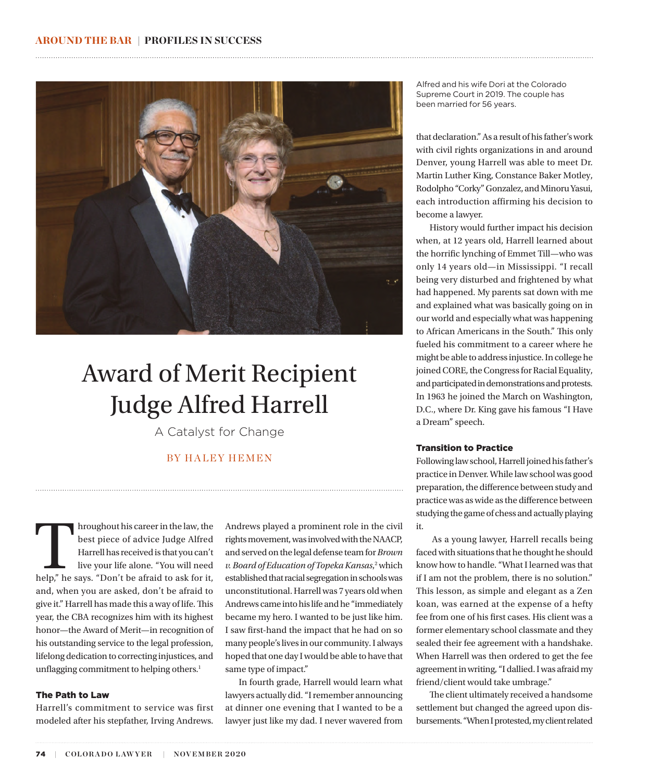

# Award of Merit Recipient Judge Alfred Harrell

A Catalyst for Change

# BY HALEY HEMEN

Arroughout his career in the law, the best piece of advice Judge Alfred Harrell has received is that you can't live your life alone. "You will need help," he says. "Don't be afraid to ask for it, best piece of advice Judge Alfred Harrell has received is that you can't live your life alone. "You will need and, when you are asked, don't be afraid to give it." Harrell has made this a way of life. This year, the CBA recognizes him with its highest honor—the Award of Merit—in recognition of his outstanding service to the legal profession, lifelong dedication to correcting injustices, and unflagging commitment to helping others.<sup>1</sup>

## The Path to Law

Harrell's commitment to service was first modeled after his stepfather, Irving Andrews.

Andrews played a prominent role in the civil rights movement, was involved with the NAACP, and served on the legal defense team for *Brown*  v. Board of Education of Topeka Kansas,<sup>2</sup> which established that racial segregation in schools was unconstitutional. Harrell was 7 years old when Andrews came into his life and he "immediately became my hero. I wanted to be just like him. I saw first-hand the impact that he had on so many people's lives in our community. I always hoped that one day I would be able to have that same type of impact."

In fourth grade, Harrell would learn what lawyers actually did. "I remember announcing at dinner one evening that I wanted to be a lawyer just like my dad. I never wavered from

Alfred and his wife Dori at the Colorado Supreme Court in 2019. The couple has been married for 56 years.

that declaration." As a result of his father's work with civil rights organizations in and around Denver, young Harrell was able to meet Dr. Martin Luther King, Constance Baker Motley, Rodolpho "Corky" Gonzalez, and Minoru Yasui, each introduction affirming his decision to become a lawyer.

History would further impact his decision when, at 12 years old, Harrell learned about the horrific lynching of Emmet Till—who was only 14 years old—in Mississippi. "I recall being very disturbed and frightened by what had happened. My parents sat down with me and explained what was basically going on in our world and especially what was happening to African Americans in the South." This only fueled his commitment to a career where he might be able to address injustice. In college he joined CORE, the Congress for Racial Equality, and participated in demonstrations and protests. In 1963 he joined the March on Washington, D.C., where Dr. King gave his famous "I Have a Dream" speech.

#### Transition to Practice

Following law school, Harrell joined his father's practice in Denver. While law school was good preparation, the difference between study and practice was as wide as the difference between studying the game of chess and actually playing it.

 As a young lawyer, Harrell recalls being faced with situations that he thought he should know how to handle. "What I learned was that if I am not the problem, there is no solution." This lesson, as simple and elegant as a Zen koan, was earned at the expense of a hefty fee from one of his first cases. His client was a former elementary school classmate and they sealed their fee agreement with a handshake. When Harrell was then ordered to get the fee agreement in writing, "I dallied. I was afraid my friend/client would take umbrage."

The client ultimately received a handsome settlement but changed the agreed upon disbursements. "When I protested, my client related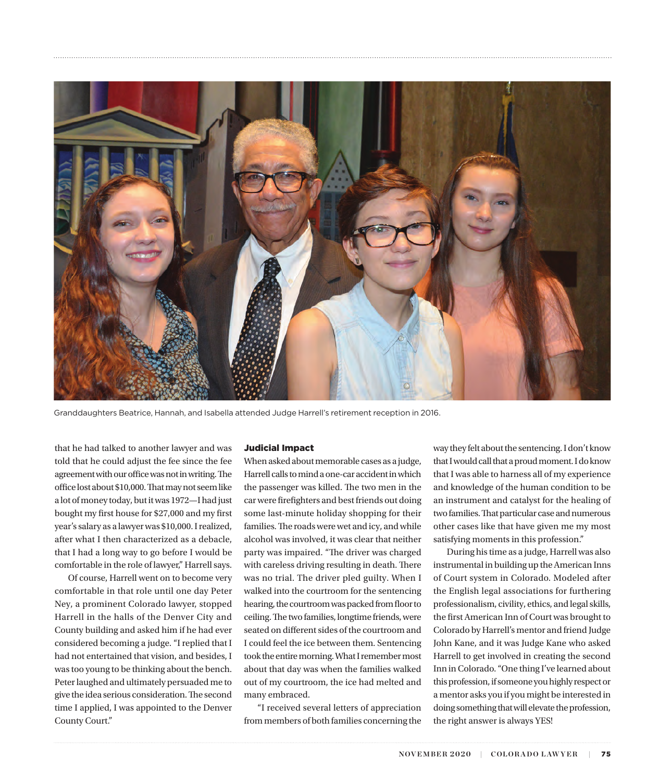

Granddaughters Beatrice, Hannah, and Isabella attended Judge Harrell's retirement reception in 2016.

that he had talked to another lawyer and was told that he could adjust the fee since the fee agreement with our office was not in writing. The office lost about \$10,000. That may not seem like a lot of money today, but it was 1972—I had just bought my first house for \$27,000 and my first year's salary as a lawyer was \$10,000. I realized, after what I then characterized as a debacle, that I had a long way to go before I would be comfortable in the role of lawyer," Harrell says.

Of course, Harrell went on to become very comfortable in that role until one day Peter Ney, a prominent Colorado lawyer, stopped Harrell in the halls of the Denver City and County building and asked him if he had ever considered becoming a judge. "I replied that I had not entertained that vision, and besides, I was too young to be thinking about the bench. Peter laughed and ultimately persuaded me to give the idea serious consideration. The second time I applied, I was appointed to the Denver County Court."

#### Judicial Impact

When asked about memorable cases as a judge, Harrell calls to mind a one-car accident in which the passenger was killed. The two men in the car were firefighters and best friends out doing some last-minute holiday shopping for their families. The roads were wet and icy, and while alcohol was involved, it was clear that neither party was impaired. "The driver was charged with careless driving resulting in death. There was no trial. The driver pled guilty. When I walked into the courtroom for the sentencing hearing, the courtroom was packed from floor to ceiling. The two families, longtime friends, were seated on different sides of the courtroom and I could feel the ice between them. Sentencing took the entire morning. What I remember most about that day was when the families walked out of my courtroom, the ice had melted and many embraced.

"I received several letters of appreciation from members of both families concerning the way they felt about the sentencing. I don't know that I would call that a proud moment. I do know that I was able to harness all of my experience and knowledge of the human condition to be an instrument and catalyst for the healing of two families. That particular case and numerous other cases like that have given me my most satisfying moments in this profession."

During his time as a judge, Harrell was also instrumental in building up the American Inns of Court system in Colorado. Modeled after the English legal associations for furthering professionalism, civility, ethics, and legal skills, the first American Inn of Court was brought to Colorado by Harrell's mentor and friend Judge John Kane, and it was Judge Kane who asked Harrell to get involved in creating the second Inn in Colorado. "One thing I've learned about this profession, if someone you highly respect or a mentor asks you if you might be interested in doing something that will elevate the profession, the right answer is always YES!